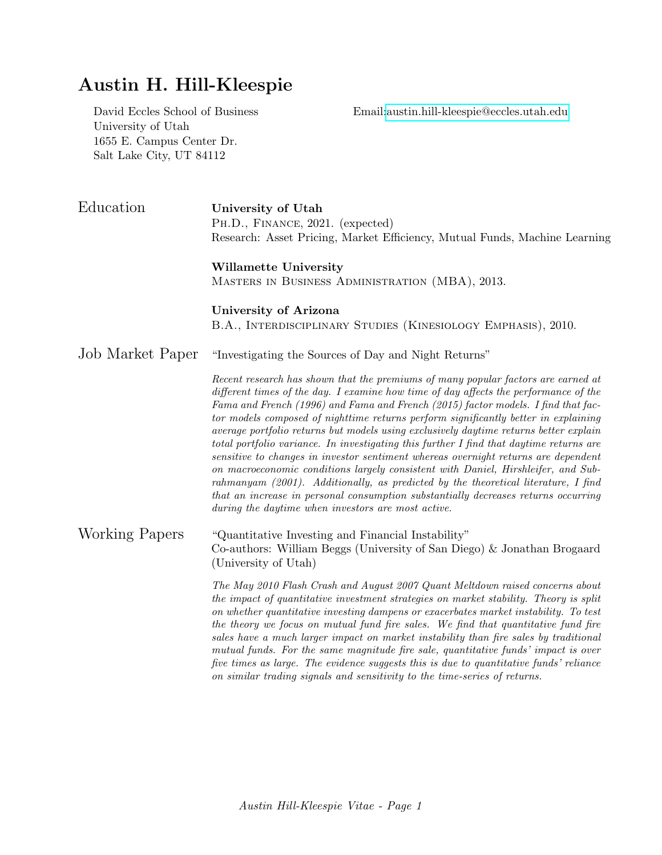## Austin H. Hill-Kleespie

University of Utah 1655 E. Campus Center Dr. Salt Lake City, UT 84112

David Eccles School of Business Email[:austin.hill-kleespie@eccles.utah.edu](mailto:austin.hill-kleespie@eccles.utah.edu)

Education University of Utah Ph.D., Finance, 2021. (expected) Research: Asset Pricing, Market Efficiency, Mutual Funds, Machine Learning

## Willamette University

Masters in Business Administration (MBA), 2013.

University of Arizona B.A., Interdisciplinary Studies (Kinesiology Emphasis), 2010.

## Job Market Paper "Investigating the Sources of Day and Night Returns"

Recent research has shown that the premiums of many popular factors are earned at different times of the day. I examine how time of day affects the performance of the Fama and French (1996) and Fama and French (2015) factor models. I find that factor models composed of nighttime returns perform significantly better in explaining average portfolio returns but models using exclusively daytime returns better explain total portfolio variance. In investigating this further I find that daytime returns are sensitive to changes in investor sentiment whereas overnight returns are dependent on macroeconomic conditions largely consistent with Daniel, Hirshleifer, and Subrahmanyam (2001). Additionally, as predicted by the theoretical literature, I find that an increase in personal consumption substantially decreases returns occurring during the daytime when investors are most active.

Working Papers "Quantitative Investing and Financial Instability" Co-authors: William Beggs (University of San Diego) & Jonathan Brogaard (University of Utah)

> The May 2010 Flash Crash and August 2007 Quant Meltdown raised concerns about the impact of quantitative investment strategies on market stability. Theory is split on whether quantitative investing dampens or exacerbates market instability. To test the theory we focus on mutual fund fire sales. We find that quantitative fund fire sales have a much larger impact on market instability than fire sales by traditional mutual funds. For the same magnitude fire sale, quantitative funds' impact is over five times as large. The evidence suggests this is due to quantitative funds' reliance on similar trading signals and sensitivity to the time-series of returns.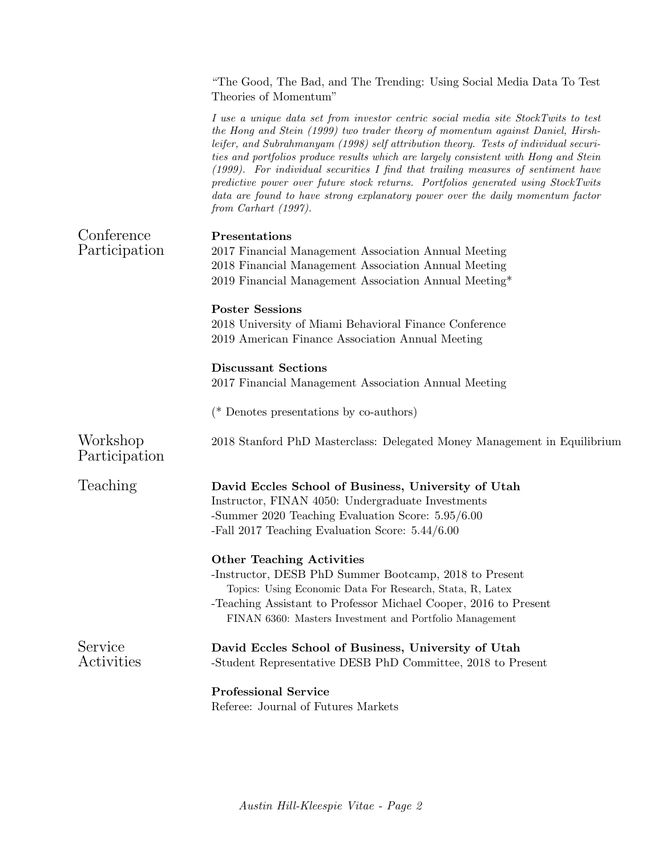|                             | "The Good, The Bad, and The Trending: Using Social Media Data To Test<br>Theories of Momentum"                                                                                                                                                                                                                                                                                                                                                                                                                                                                                                                                                 |
|-----------------------------|------------------------------------------------------------------------------------------------------------------------------------------------------------------------------------------------------------------------------------------------------------------------------------------------------------------------------------------------------------------------------------------------------------------------------------------------------------------------------------------------------------------------------------------------------------------------------------------------------------------------------------------------|
|                             | I use a unique data set from investor centric social media site StockTwits to test<br>the Hong and Stein (1999) two trader theory of momentum against Daniel, Hirsh-<br>leifer, and Subrahmanyam (1998) self attribution theory. Tests of individual securi-<br>ties and portfolios produce results which are largely consistent with Hong and Stein<br>$(1999)$ . For individual securities I find that trailing measures of sentiment have<br>predictive power over future stock returns. Portfolios generated using StockTwits<br>data are found to have strong explanatory power over the daily momentum factor<br>from Carhart $(1997)$ . |
| Conference<br>Participation | Presentations<br>2017 Financial Management Association Annual Meeting<br>2018 Financial Management Association Annual Meeting<br>2019 Financial Management Association Annual Meeting*                                                                                                                                                                                                                                                                                                                                                                                                                                                         |
|                             | <b>Poster Sessions</b><br>2018 University of Miami Behavioral Finance Conference<br>2019 American Finance Association Annual Meeting                                                                                                                                                                                                                                                                                                                                                                                                                                                                                                           |
|                             | <b>Discussant Sections</b><br>2017 Financial Management Association Annual Meeting                                                                                                                                                                                                                                                                                                                                                                                                                                                                                                                                                             |
|                             | ( $*$ Denotes presentations by co-authors)                                                                                                                                                                                                                                                                                                                                                                                                                                                                                                                                                                                                     |
| Workshop<br>Participation   | 2018 Stanford PhD Masterclass: Delegated Money Management in Equilibrium                                                                                                                                                                                                                                                                                                                                                                                                                                                                                                                                                                       |
| Teaching                    | David Eccles School of Business, University of Utah<br>Instructor, FINAN 4050: Undergraduate Investments<br>-Summer 2020 Teaching Evaluation Score: 5.95/6.00<br>-Fall 2017 Teaching Evaluation Score: 5.44/6.00                                                                                                                                                                                                                                                                                                                                                                                                                               |
|                             | <b>Other Teaching Activities</b><br>-Instructor, DESB PhD Summer Bootcamp, 2018 to Present<br>Topics: Using Economic Data For Research, Stata, R, Latex<br>-Teaching Assistant to Professor Michael Cooper, 2016 to Present<br>FINAN 6360: Masters Investment and Portfolio Management                                                                                                                                                                                                                                                                                                                                                         |
| Service<br>Activities       | David Eccles School of Business, University of Utah<br>-Student Representative DESB PhD Committee, 2018 to Present                                                                                                                                                                                                                                                                                                                                                                                                                                                                                                                             |
|                             | <b>Professional Service</b><br>Referee: Journal of Futures Markets                                                                                                                                                                                                                                                                                                                                                                                                                                                                                                                                                                             |